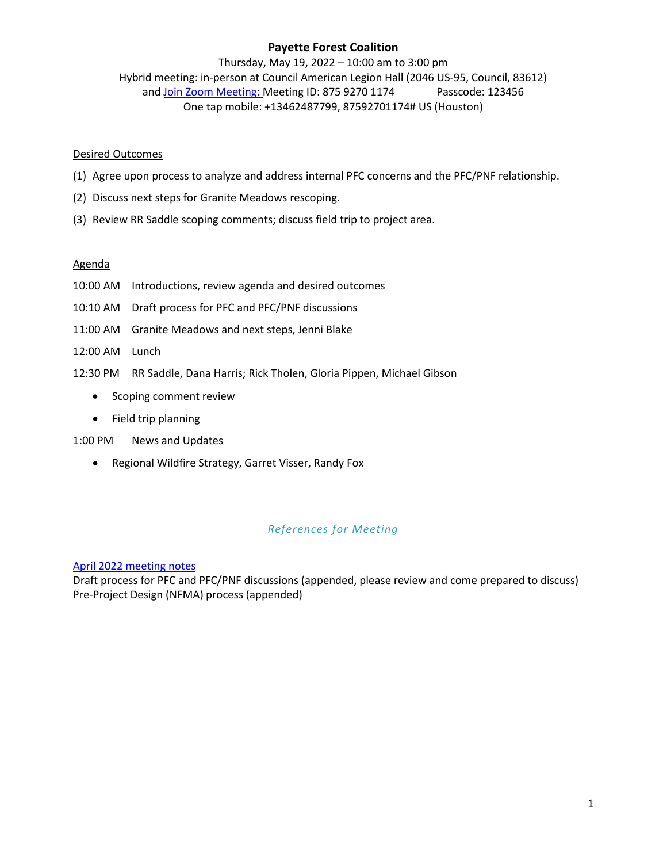# **Payette Forest Coalition**

Thursday, May 19, 2022 – 10:00 am to 3:00 pm Hybrid meeting: in-person at Council American Legion Hall (2046 US-95, Council, 83612) and [Join Zoom Meeting:](https://us02web.zoom.us/j/87592701174?pwd=UUxKZmhORlVGbGw1aHJGT1YrOGJPUT09) Meeting ID: 875 9270 1174 Passcode: 123456 One tap mobile: +13462487799, 87592701174# US (Houston)

#### Desired Outcomes

- (1) Agree upon process to analyze and address internal PFC concerns and the PFC/PNF relationship.
- (2) Discuss next steps for Granite Meadows rescoping.
- (3) Review RR Saddle scoping comments; discuss field trip to project area.

#### Agenda

- 10:00 AM Introductions, review agenda and desired outcomes
- 10:10 AM Draft process for PFC and PFC/PNF discussions
- 11:00 AM Granite Meadows and next steps, Jenni Blake
- 12:00 AM Lunch
- 12:30 PM RR Saddle, Dana Harris; Rick Tholen, Gloria Pippen, Michael Gibson
	- Scoping comment review
	- Field trip planning
- 1:00 PM News and Updates
	- Regional Wildfire Strategy, Garret Visser, Randy Fox

### *References for Meeting*

#### April 2022 [meeting notes](http://www.payetteforestcoalition.org/meetingnotes.html)

Draft process for PFC and PFC/PNF discussions (appended, please review and come prepared to discuss) Pre-Project Design (NFMA) process (appended)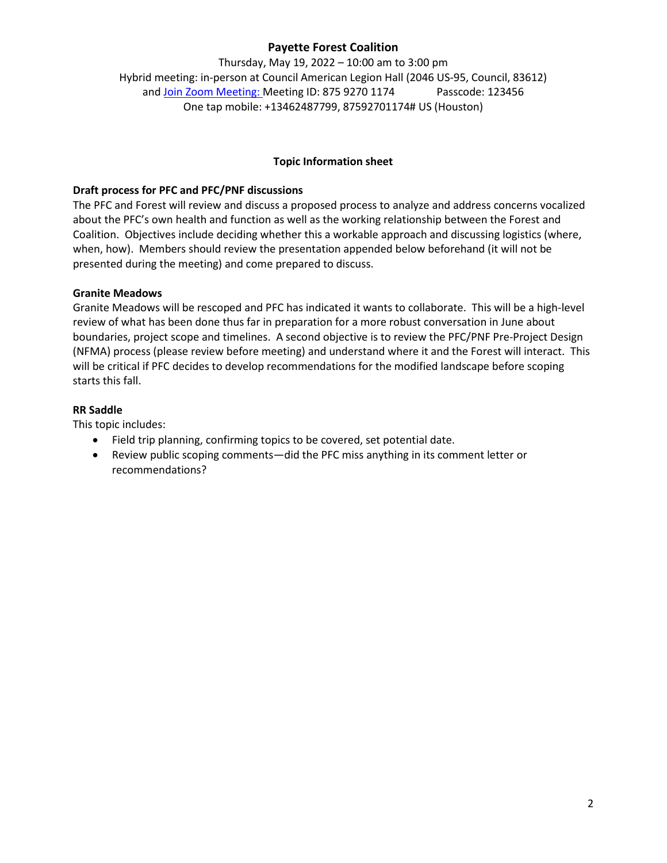## **Payette Forest Coalition**

Thursday, May 19, 2022 – 10:00 am to 3:00 pm Hybrid meeting: in-person at Council American Legion Hall (2046 US-95, Council, 83612) and [Join Zoom Meeting:](https://us02web.zoom.us/j/87592701174?pwd=UUxKZmhORlVGbGw1aHJGT1YrOGJPUT09) Meeting ID: 875 9270 1174 Passcode: 123456 One tap mobile: +13462487799, 87592701174# US (Houston)

#### **Topic Information sheet**

#### **Draft process for PFC and PFC/PNF discussions**

The PFC and Forest will review and discuss a proposed process to analyze and address concerns vocalized about the PFC's own health and function as well as the working relationship between the Forest and Coalition. Objectives include deciding whether this a workable approach and discussing logistics (where, when, how). Members should review the presentation appended below beforehand (it will not be presented during the meeting) and come prepared to discuss.

#### **Granite Meadows**

Granite Meadows will be rescoped and PFC has indicated it wants to collaborate. This will be a high-level review of what has been done thus far in preparation for a more robust conversation in June about boundaries, project scope and timelines. A second objective is to review the PFC/PNF Pre-Project Design (NFMA) process (please review before meeting) and understand where it and the Forest will interact. This will be critical if PFC decides to develop recommendations for the modified landscape before scoping starts this fall.

#### **RR Saddle**

This topic includes:

- Field trip planning, confirming topics to be covered, set potential date.
- Review public scoping comments—did the PFC miss anything in its comment letter or recommendations?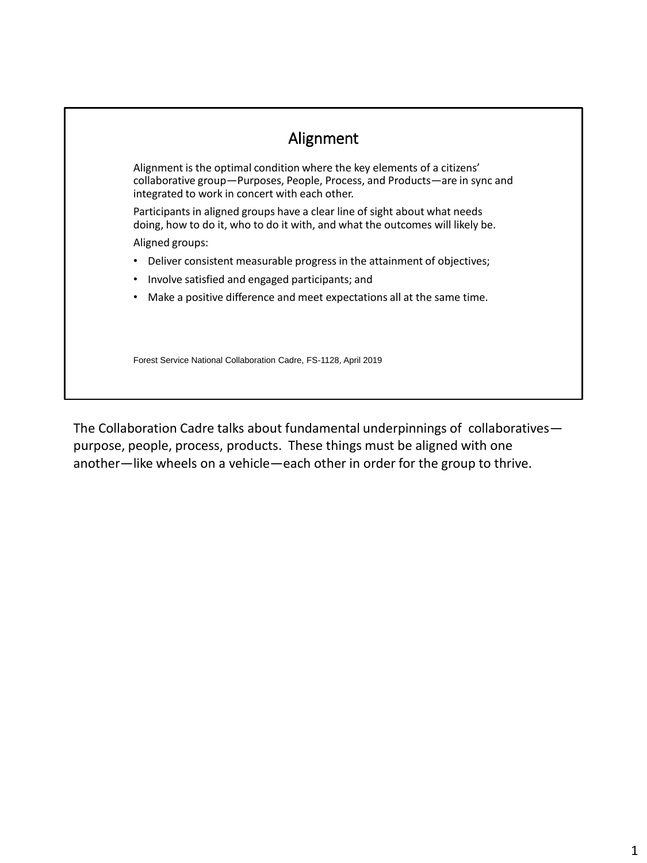

The Collaboration Cadre talks about fundamental underpinnings of collaboratives purpose, people, process, products. These things must be aligned with one another—like wheels on a vehicle—each other in order for the group to thrive.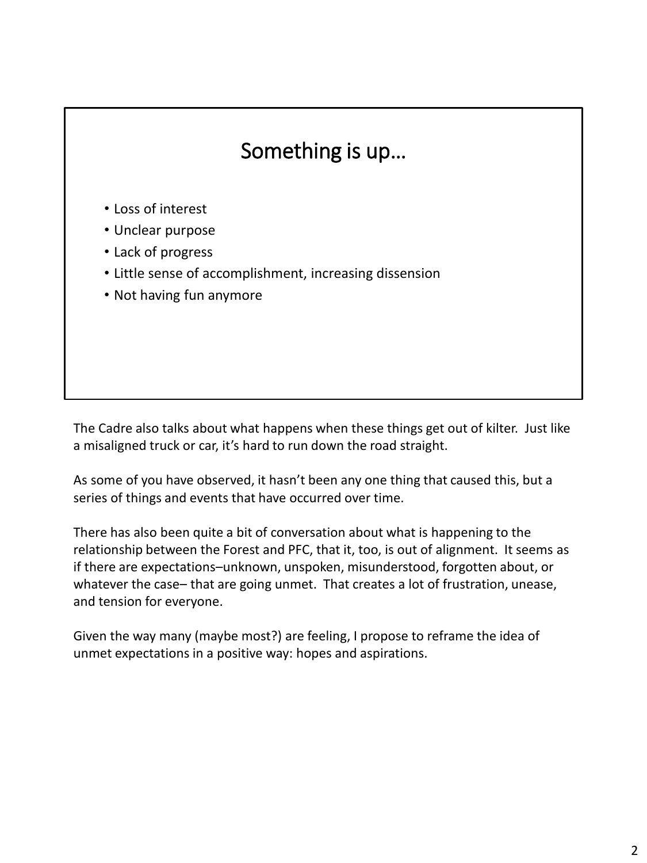

The Cadre also talks about what happens when these things get out of kilter. Just like a misaligned truck or car, it's hard to run down the road straight.

As some of you have observed, it hasn't been any one thing that caused this, but a series of things and events that have occurred over time.

There has also been quite a bit of conversation about what is happening to the relationship between the Forest and PFC, that it, too, is out of alignment. It seems as if there are expectations–unknown, unspoken, misunderstood, forgotten about, or whatever the case– that are going unmet. That creates a lot of frustration, unease, and tension for everyone.

Given the way many (maybe most?) are feeling, I propose to reframe the idea of unmet expectations in a positive way: hopes and aspirations.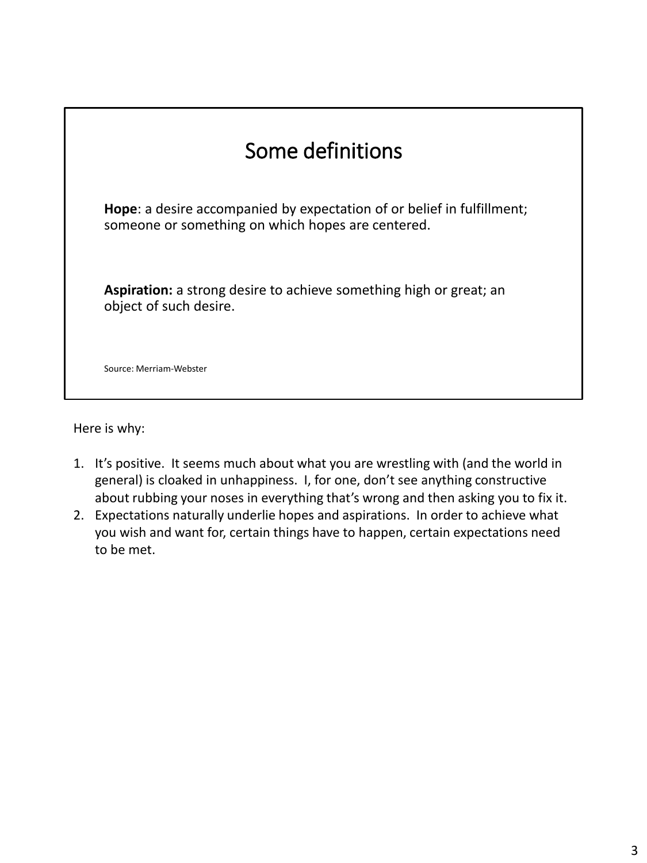| Some definitions                                                                                                            |
|-----------------------------------------------------------------------------------------------------------------------------|
| Hope: a desire accompanied by expectation of or belief in fulfillment;<br>someone or something on which hopes are centered. |
| <b>Aspiration:</b> a strong desire to achieve something high or great; an<br>object of such desire.                         |
| Source: Merriam-Webster                                                                                                     |

Here is why:

- 1. It's positive. It seems much about what you are wrestling with (and the world in general) is cloaked in unhappiness. I, for one, don't see anything constructive about rubbing your noses in everything that's wrong and then asking you to fix it.
- 2. Expectations naturally underlie hopes and aspirations. In order to achieve what you wish and want for, certain things have to happen, certain expectations need to be met.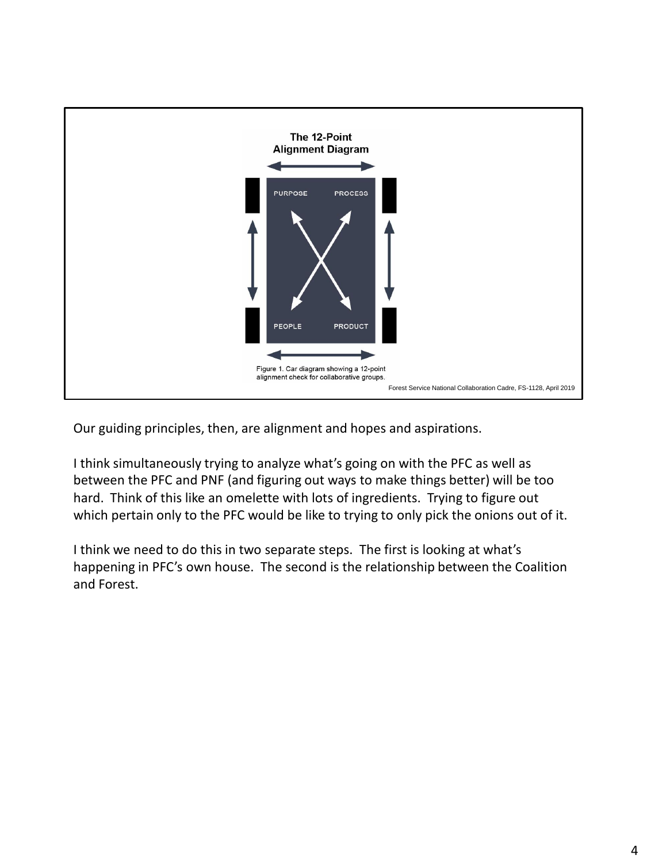

Our guiding principles, then, are alignment and hopes and aspirations.

I think simultaneously trying to analyze what's going on with the PFC as well as between the PFC and PNF (and figuring out ways to make things better) will be too hard. Think of this like an omelette with lots of ingredients. Trying to figure out which pertain only to the PFC would be like to trying to only pick the onions out of it.

I think we need to do this in two separate steps. The first is looking at what's happening in PFC's own house. The second is the relationship between the Coalition and Forest.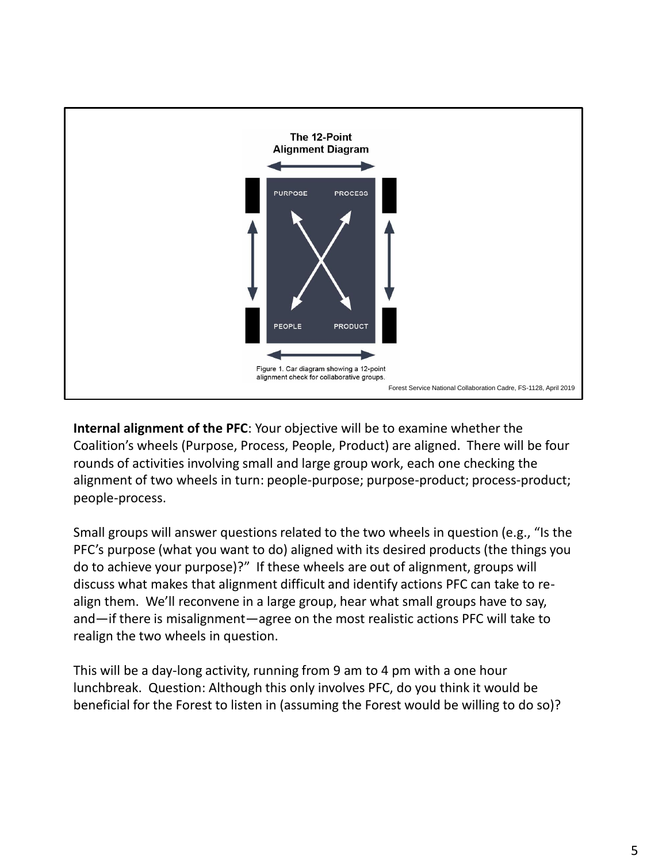

**Internal alignment of the PFC**: Your objective will be to examine whether the Coalition's wheels (Purpose, Process, People, Product) are aligned. There will be four rounds of activities involving small and large group work, each one checking the alignment of two wheels in turn: people-purpose; purpose-product; process-product; people-process.

Small groups will answer questions related to the two wheels in question (e.g., "Is the PFC's purpose (what you want to do) aligned with its desired products (the things you do to achieve your purpose)?" If these wheels are out of alignment, groups will discuss what makes that alignment difficult and identify actions PFC can take to realign them. We'll reconvene in a large group, hear what small groups have to say, and—if there is misalignment—agree on the most realistic actions PFC will take to realign the two wheels in question.

This will be a day-long activity, running from 9 am to 4 pm with a one hour lunchbreak. Question: Although this only involves PFC, do you think it would be beneficial for the Forest to listen in (assuming the Forest would be willing to do so)?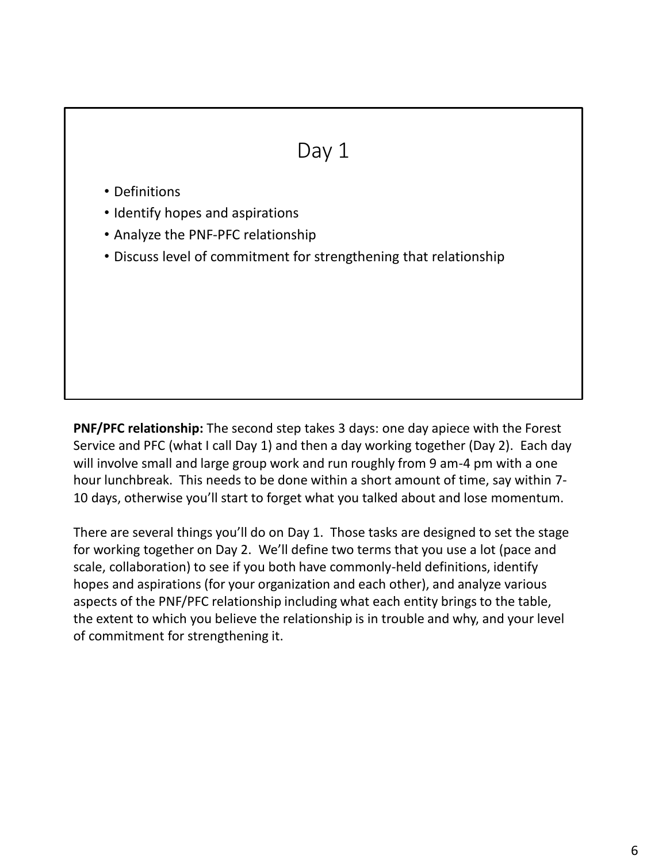# Day 1 • Definitions • Identify hopes and aspirations • Analyze the PNF-PFC relationship • Discuss level of commitment for strengthening that relationship

**PNF/PFC relationship:** The second step takes 3 days: one day apiece with the Forest Service and PFC (what I call Day 1) and then a day working together (Day 2). Each day will involve small and large group work and run roughly from 9 am-4 pm with a one hour lunchbreak. This needs to be done within a short amount of time, say within 7- 10 days, otherwise you'll start to forget what you talked about and lose momentum.

There are several things you'll do on Day 1. Those tasks are designed to set the stage for working together on Day 2. We'll define two terms that you use a lot (pace and scale, collaboration) to see if you both have commonly-held definitions, identify hopes and aspirations (for your organization and each other), and analyze various aspects of the PNF/PFC relationship including what each entity brings to the table, the extent to which you believe the relationship is in trouble and why, and your level of commitment for strengthening it.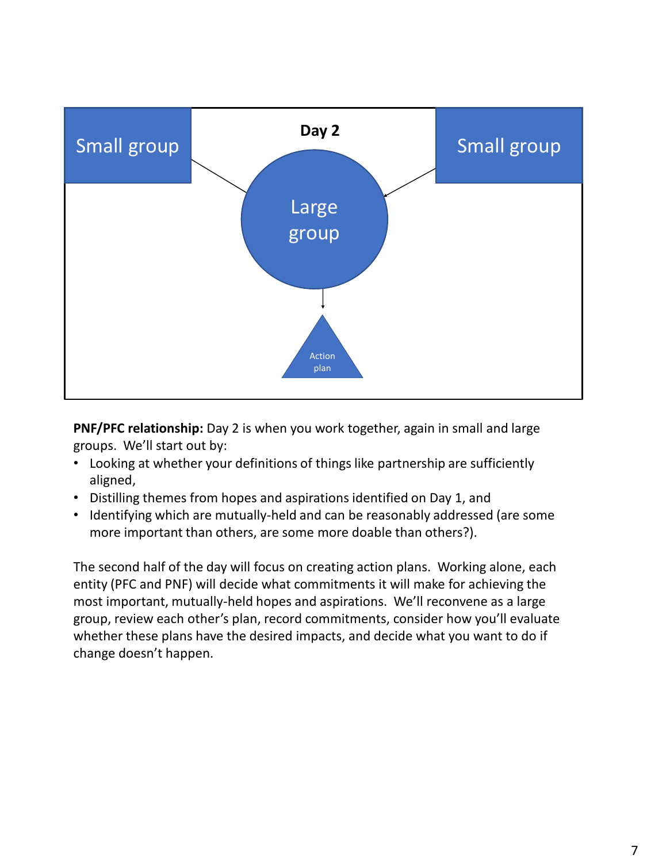

**PNF/PFC relationship:** Day 2 is when you work together, again in small and large groups. We'll start out by:

- Looking at whether your definitions of things like partnership are sufficiently aligned,
- Distilling themes from hopes and aspirations identified on Day 1, and
- Identifying which are mutually-held and can be reasonably addressed (are some more important than others, are some more doable than others?).

The second half of the day will focus on creating action plans. Working alone, each entity (PFC and PNF) will decide what commitments it will make for achieving the most important, mutually-held hopes and aspirations. We'll reconvene as a large group, review each other's plan, record commitments, consider how you'll evaluate whether these plans have the desired impacts, and decide what you want to do if change doesn't happen.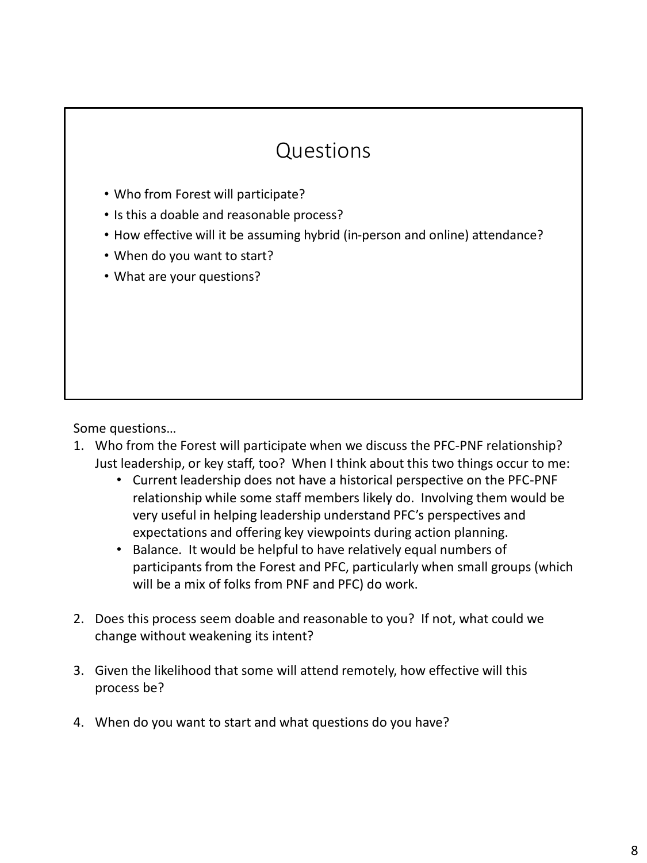# Questions

- Who from Forest will participate?
- Is this a doable and reasonable process?
- How effective will it be assuming hybrid (in-person and online) attendance?
- When do you want to start?
- What are your questions?

Some questions…

- 1. Who from the Forest will participate when we discuss the PFC-PNF relationship? Just leadership, or key staff, too? When I think about this two things occur to me:
	- Current leadership does not have a historical perspective on the PFC-PNF relationship while some staff members likely do. Involving them would be very useful in helping leadership understand PFC's perspectives and expectations and offering key viewpoints during action planning.
	- Balance. It would be helpful to have relatively equal numbers of participants from the Forest and PFC, particularly when small groups (which will be a mix of folks from PNF and PFC) do work.
- 2. Does this process seem doable and reasonable to you? If not, what could we change without weakening its intent?
- 3. Given the likelihood that some will attend remotely, how effective will this process be?
- 4. When do you want to start and what questions do you have?